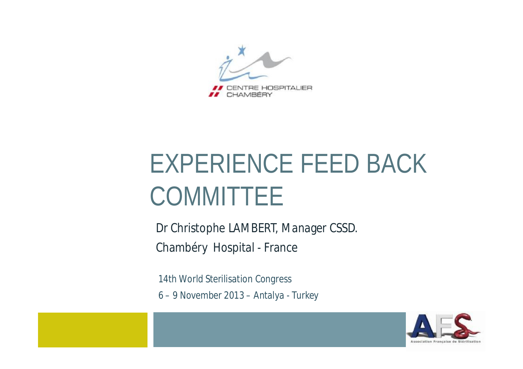

# EXPERIENCE FEED BACK **COMMITTEE**

Dr Christophe LAMBERT, Manager CSSD. Chambéry Hospital - France

*14th World Sterilisation Congress 6 – 9 November 2013 – Antalya - Turkey*

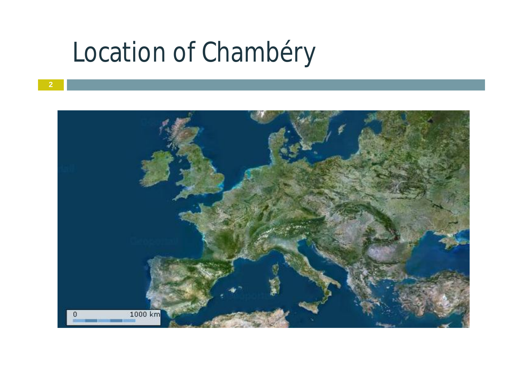### Location of Chambéry

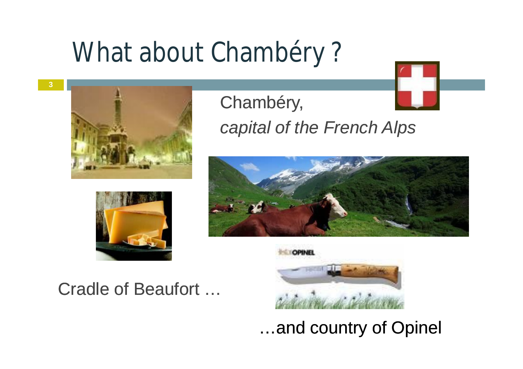### What about Chambéry ?



**3**

Chambéry, *capital of the French Alps*





#### Cradle of Beaufort …



…and country of Opinel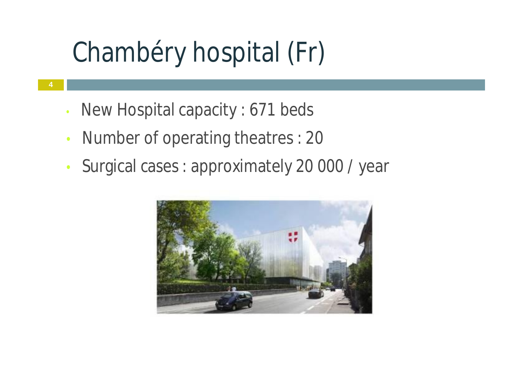# Chambéry hospital (Fr)

• New Hospital capacity : 671 beds

**4**

- Number of operating theatres : 20
- Surgical cases : approximately 20 000 / year

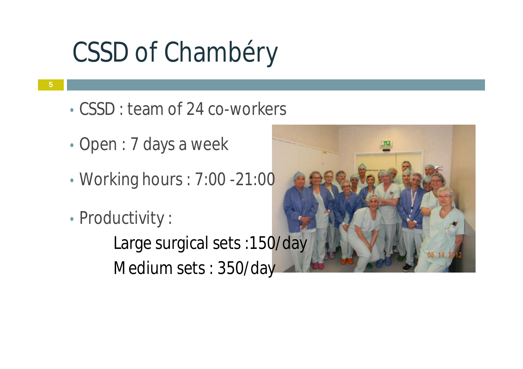# CSSD of Chambéry

- **5**
- CSSD : team of 24 co-workers
- Open : 7 days a week
- Working hours : 7:00 -21:00
- Productivity :

Large surgical sets :150/day Medium sets : 350/day

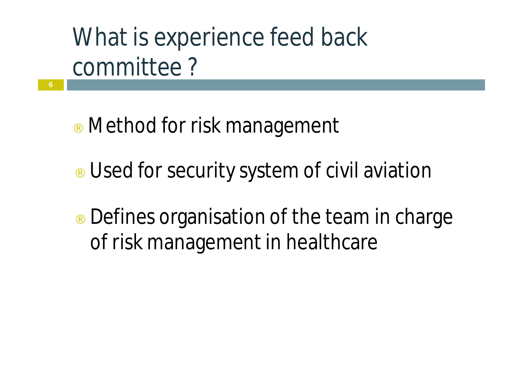## What is experience feed back committee ?

¨ Method for risk management

**6**

- ¨ Used for security system of civil aviation
- $\therefore$  Defines organisation of the team in charge of risk management in healthcare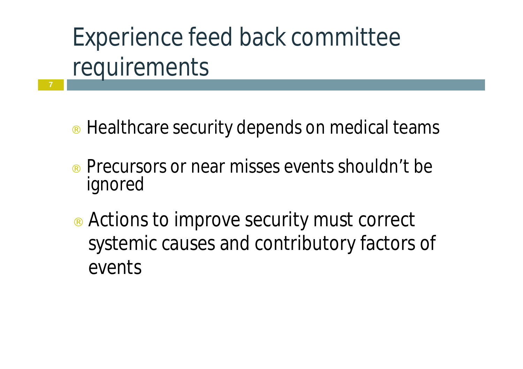## Experience feed back committee requirements

**7**

- ¨ Healthcare security depends on medical teams
- ¨ Precursors or near misses events shouldn't be ignored
- Actions to improve security must correct systemic causes and contributory factors of events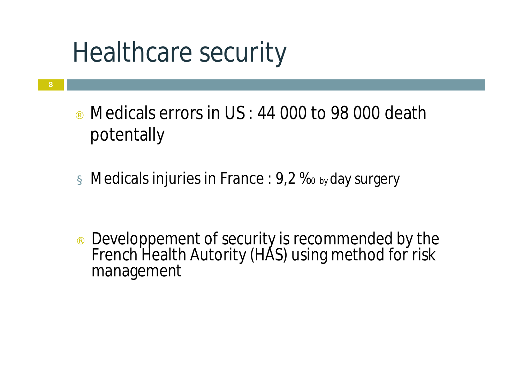# Healthcare security

**8**

- Medicals errors in  $US: 44 000$  to 98 000 death potentally
- $\alpha$  Medicals injuries in France : 9,2  $\%$  by day surgery

Developpement of security is recommended by the French Health Autority (HAS) using method for risk management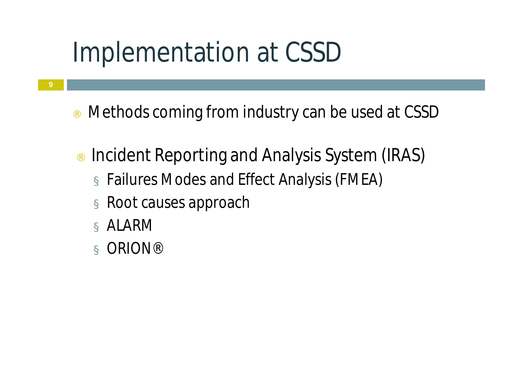## Implementation at CSSD

- ¨ Methods coming from industry can be used at CSSD
- ¨ Incident Reporting and Analysis System (IRAS) ¤ Failures Modes and Effect Analysis (FMEA)
	- ¤ Root causes approach
	- ¤ ALARM

**9**

¤ ORION®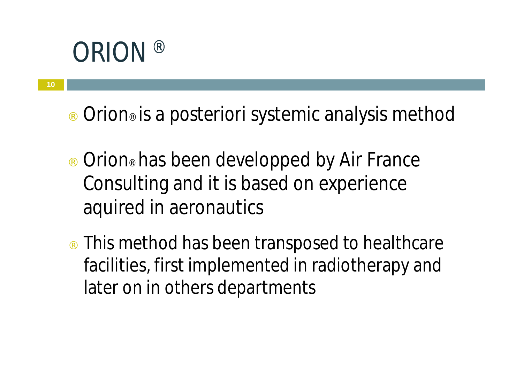#### **ORION**

**10**

- ¨ Orion® is a *posteriori* systemic analysis method
- ¨ Orion® has been developped by Air France Consulting and it is based on experience aquired in aeronautics
- $\therefore$  This method has been transposed to healthcare facilities, first implemented in radiotherapy and later on in others departments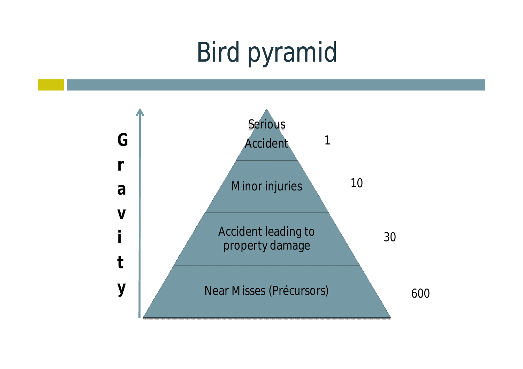# Bird pyramid

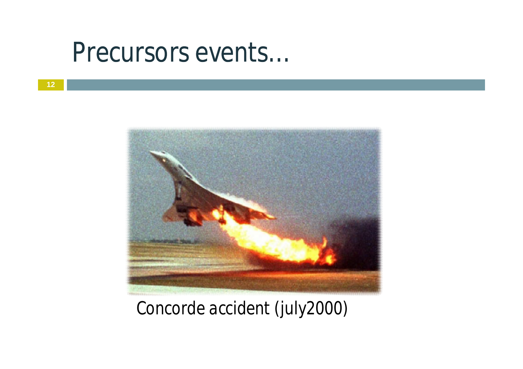#### Precursors events…



*Concorde accident (july2000)*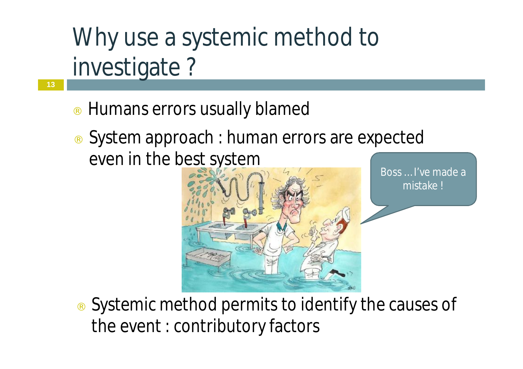#### Why use a systemic method to investigate ?

Humans errors usually blamed

**13**

System approach : human errors are expected even in the best system



Boss … I've made a mistake !

Systemic method permits to identify the causes of the event : contributory factors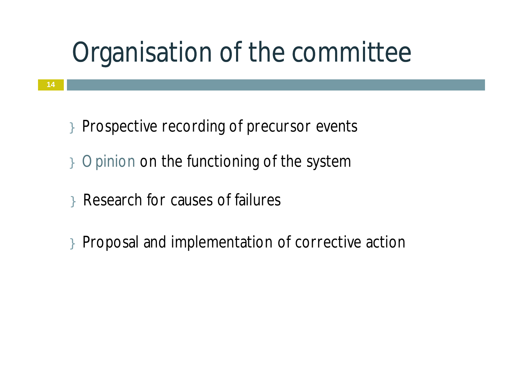# Organisation of the committee

- } Prospective recording of precursor events
- } Opinion on the functioning of the system
- } Research for causes of failures
- } Proposal and implementation of corrective action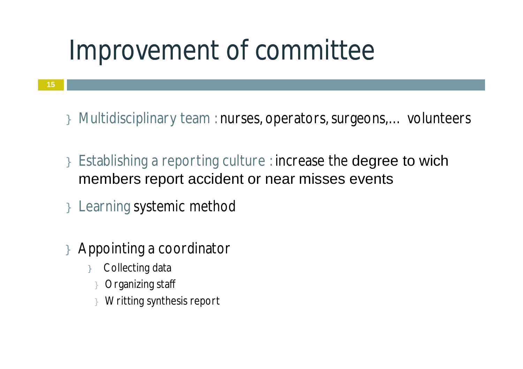## Improvement of committee

- **15**
- } Multidisciplinary team : nurses, operators,surgeons,… volunteers
- } Establishing a reporting culture : increase the degree to wich members report accident or near misses events
- } Learning systemic method
- } Appointing a coordinator
	- Collecting data
	- Organizing staff
	- } Writting synthesis report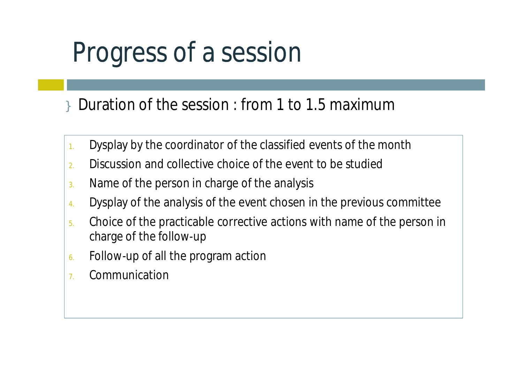# Progress of a session

} Duration of the session : from 1 to 1.5 maximum

- 1. Dysplay by the coordinator of the classified events of the month
- 2. Discussion and collective choice of the event to be studied
- 3. Name of the person in charge of the analysis
- 4. Dysplay of the analysis of the event chosen in the previous committee
- 5. Choice of the practicable corrective actions with name of the person in charge of the follow-up
- 6. Follow-up of all the program action
- 7. Communication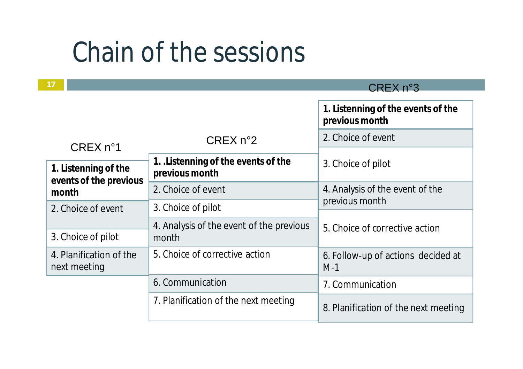#### Chain of the sessions

**17**

#### CREX n°3

|                                               |                                                      | 1. Listenning of the events of the<br>previous month |  |
|-----------------------------------------------|------------------------------------------------------|------------------------------------------------------|--|
| CREX n <sup>o</sup> 1<br>1. Listenning of the | CREX n°2                                             | 2. Choice of event                                   |  |
|                                               | 1. Listenning of the events of the<br>previous month | 3. Choice of pilot                                   |  |
| events of the previous<br>month               | 2. Choice of event                                   | 4. Analysis of the event of the                      |  |
| 2. Choice of event                            | 3. Choice of pilot                                   | previous month                                       |  |
| 3. Choice of pilot                            | 4. Analysis of the event of the previous<br>month    | 5. Choice of corrective action                       |  |
| 4. Planification of the<br>next meeting       | 5. Choice of corrective action                       | 6. Follow-up of actions decided at<br>$M-1$          |  |
|                                               | 6. Communication                                     | 7. Communication                                     |  |
|                                               | 7. Planification of the next meeting                 | 8. Planification of the next meeting                 |  |
|                                               |                                                      |                                                      |  |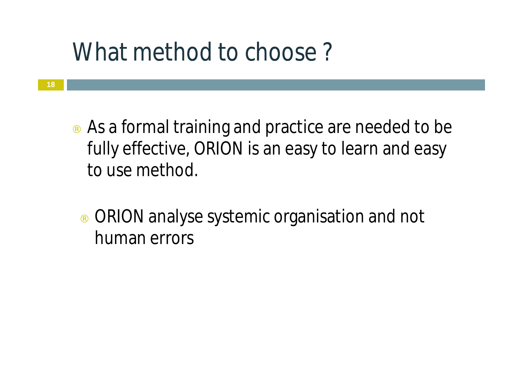#### What method to choose?

**18**

- $\therefore$  As a formal training and practice are needed to be fully effective, ORION is an easy to learn and easy to use method.
	- ¨ ORION analyse systemic organisation and not human errors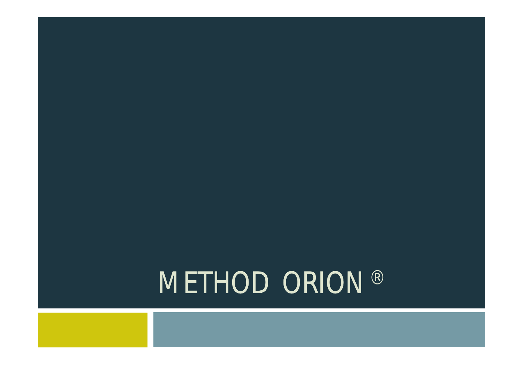# METHOD ORION®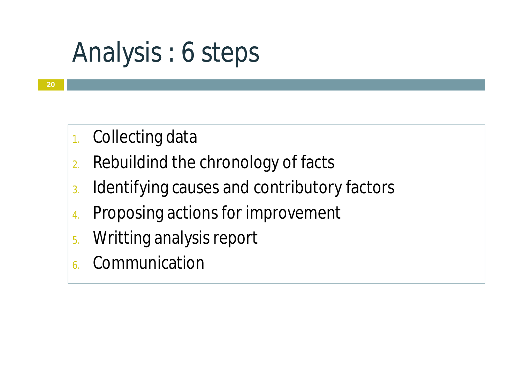# Analysis : 6 steps

- 1. Collecting data
- 2. Rebuildind the chronology of facts
- 3. Identifying causes and contributory factors
- 4. Proposing actions for improvement
- 5. Writting analysis report
- **Communication**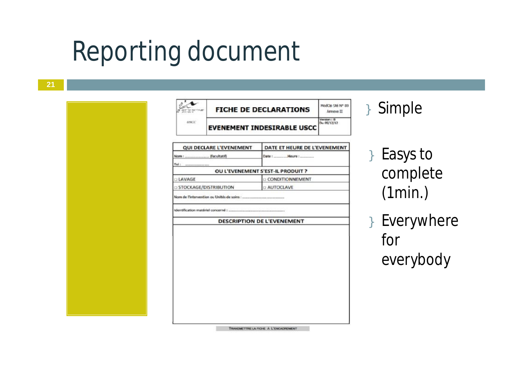#### Reporting document

| <b>EVENEMENT INDESIRABLE USCC</b><br><b>QUI DECLARE L'EVENEMENT</b><br>DATE ET HEURE DE L'EVENEMENT<br>OU L'EVENEMENT S'EST-IL PRODUIT ?<br><b>D CONDITIONNEMENT</b><br><b>D AUTOCLAVE</b><br><b>DESCRIPTION DE L'EVENEMENT</b> | <b>USCC</b>                  |  |  | Version : B<br>Du 05/12/12 |
|---------------------------------------------------------------------------------------------------------------------------------------------------------------------------------------------------------------------------------|------------------------------|--|--|----------------------------|
|                                                                                                                                                                                                                                 |                              |  |  |                            |
|                                                                                                                                                                                                                                 |                              |  |  |                            |
|                                                                                                                                                                                                                                 |                              |  |  |                            |
|                                                                                                                                                                                                                                 | Tel:                         |  |  |                            |
|                                                                                                                                                                                                                                 |                              |  |  |                            |
|                                                                                                                                                                                                                                 | <b>LAVAGE</b>                |  |  |                            |
|                                                                                                                                                                                                                                 | <b>STOCKAGE/DISTRIBUTION</b> |  |  |                            |
|                                                                                                                                                                                                                                 |                              |  |  |                            |
|                                                                                                                                                                                                                                 |                              |  |  |                            |
|                                                                                                                                                                                                                                 |                              |  |  |                            |
|                                                                                                                                                                                                                                 |                              |  |  |                            |
|                                                                                                                                                                                                                                 |                              |  |  |                            |
|                                                                                                                                                                                                                                 |                              |  |  |                            |
|                                                                                                                                                                                                                                 |                              |  |  |                            |
|                                                                                                                                                                                                                                 |                              |  |  |                            |
|                                                                                                                                                                                                                                 |                              |  |  |                            |

#### } Simple

} Easys to complete (1min.)

} Everywhere for everybody

TRANSMETTRE LA FIGHE À L'ENCADREMENT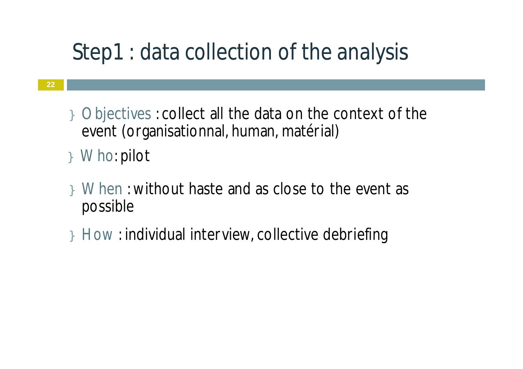#### Step1 : data collection of the analysis

- } Objectives : collect all the data on the context of the event (organisationnal, human, matérial)
- } Who: pilot
- } When : without haste and as close to the event as possible
- } How : individual interview, collective debriefing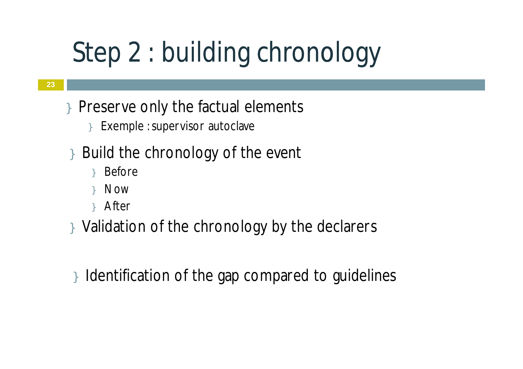# Step 2 : building chronology

- } Preserve only the factual elements
	- } Exemple : supervisor autoclave
- Build the chronology of the event
	- } Before
	- } Now
	- } After
- } Validation of the chronology by the declarers
- } Identification of the gap compared to guidelines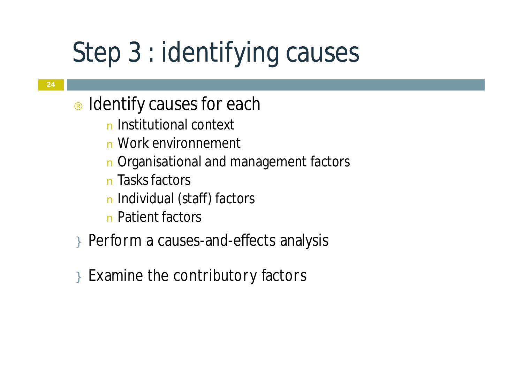# Step 3 : identifying causes

- Identify causes for each
	- n Institutional context
	- n Work environnement
	- n Organisational and management factors
	- n Tasks factors
	- n Individual (staff) factors
	- n Patient factors
- } Perform a causes-and-effects analysis
- } Examine the contributory factors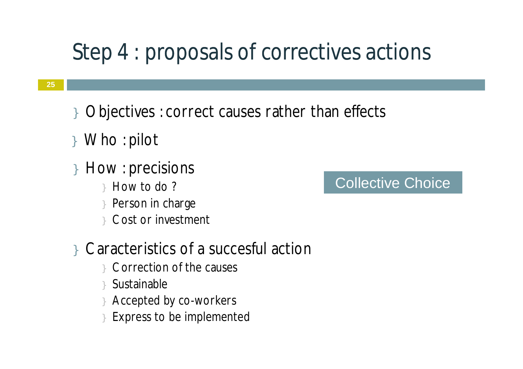#### Step 4 : proposals of correctives actions

- } Objectives : correct causes rather than effects
- } Who : pilot
- } How : precisions
	- } How to do ?
	- Person in charge
	- Cost or investment
- } Caracteristics of a succesful action
	- } Correction of the causes
	- } Sustainable
	- Accepted by co-workers
	- Express to be implemented

#### Collective Choice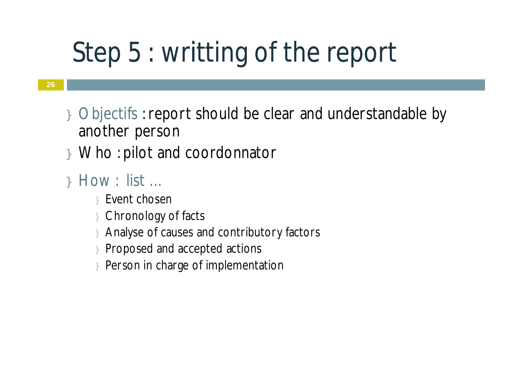# Step 5 : writting of the report

- } Objectifs :report should be clear and understandable by another person
- } Who : pilot and coordonnator
- } How : list …
	- } Event chosen
	- } Chronology of facts
	- Analyse of causes and contributory factors
	- } Proposed and accepted actions
	- Person in charge of implementation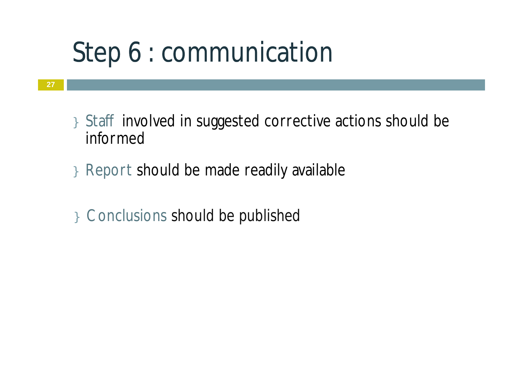# Step 6 : communication

- } Staff involved in suggested corrective actions should be informed
- } Report should be made readily available
- } Conclusions should be published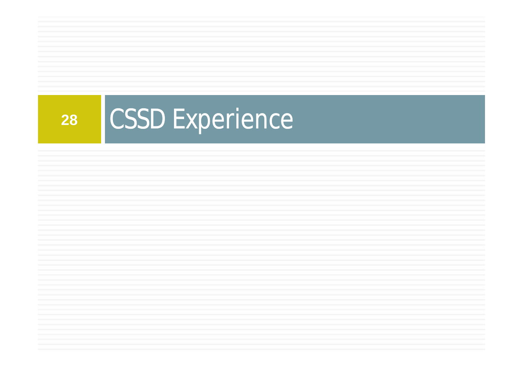# 28 CSSD Experience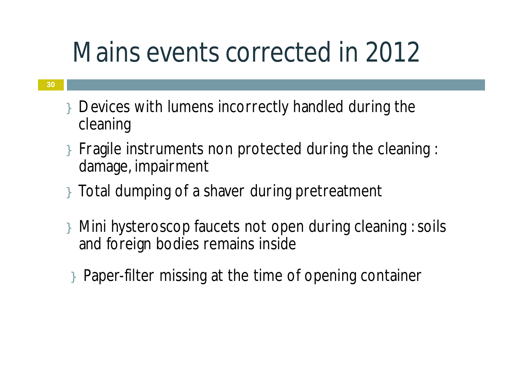# Mains events corrected in 2012

- } Devices with lumens incorrectly handled during the cleaning
- } Fragile instruments non protected during the cleaning : damage, impairment
- } Total dumping of a shaver during pretreatment
- } Mini hysteroscop faucets not open during cleaning :soils and foreign bodies remains inside
- } Paper-filter missing at the time of opening container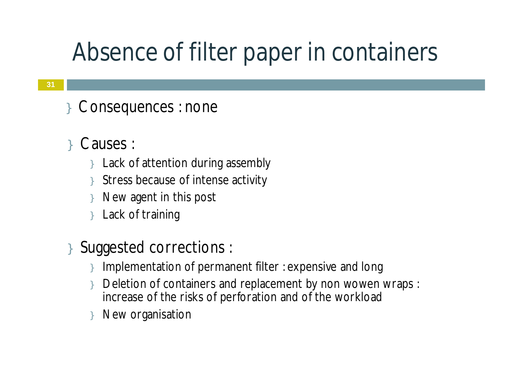#### Absence of filter paper in containers

- Consequences : none
- Causes :
	- } Lack of attention during assembly
	- Stress because of intense activity
	- New agent in this post
	- Lack of training
- } Suggested corrections :
	- Implementation of permanent filter : expensive and long
	- Deletion of containers and replacement by non wowen wraps : increase of the risks of perforation and of the workload
	- New organisation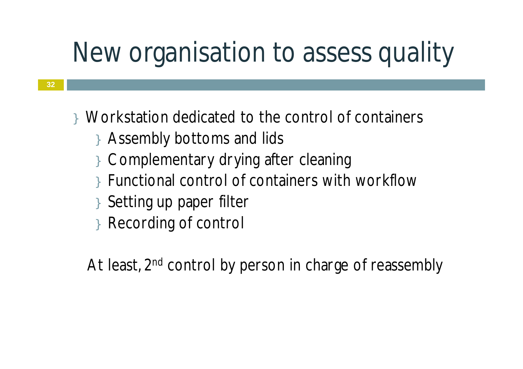# New organisation to assess quality

- } Workstation dedicated to the control of containers
	- } Assembly bottoms and lids
	- } Complementary drying after cleaning
	- } Functional control of containers with workflow
	- } Setting up paper filter
	- } Recording of control

At least, 2<sup>nd</sup> control by person in charge of reassembly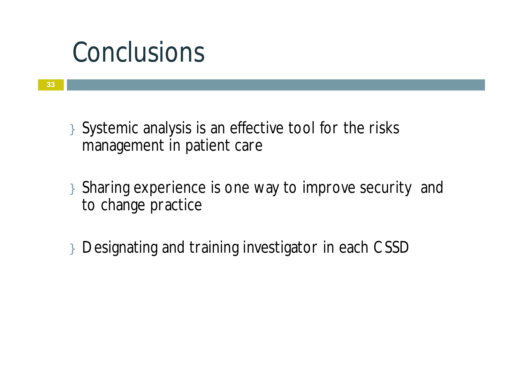#### Conclusions

- } Systemic analysis is an effective tool for the risks management in patient care
- } Sharing experience is one way to improve security and to change practice
- } Designating and training investigator in each CSSD